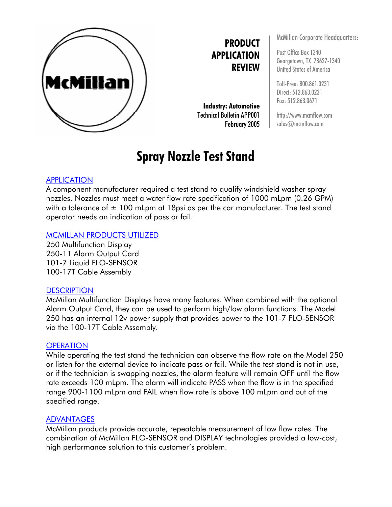

**PRODUCT APPLICATION REVIEW**

**Industry: Automotive** Technical Bulletin APP001 February 2005

# **Spray Nozzle Test Stand**

### APPLICATION

A component manufacturer required a test stand to qualify windshield washer spray nozzles. Nozzles must meet a water flow rate specification of 1000 mLpm (0.26 GPM) with a tolerance of  $\pm$  100 mLpm at 18psi as per the car manufacturer. The test stand operator needs an indication of pass or fail.

#### MCMILLAN PRODUCTS UTILIZED

250 Multifunction Display 250-11 Alarm Output Card 101-7 Liquid FLO-SENSOR 100-17T Cable Assembly

#### **DESCRIPTION**

McMillan Multifunction Displays have many features. When combined with the optional Alarm Output Card, they can be used to perform high/low alarm functions. The Model 250 has an internal 12v power supply that provides power to the 101-7 FLO-SENSOR via the 100-17T Cable Assembly.

#### **OPERATION**

While operating the test stand the technician can observe the flow rate on the Model 250 or listen for the external device to indicate pass or fail. While the test stand is not in use, or if the technician is swapping nozzles, the alarm feature will remain OFF until the flow rate exceeds 100 mLpm. The alarm will indicate PASS when the flow is in the specified range 900-1100 mLpm and FAIL when flow rate is above 100 mLpm and out of the specified range.

#### ADVANTAGES

McMillan products provide accurate, repeatable measurement of low flow rates. The combination of McMillan FLO-SENSOR and DISPLAY technologies provided a low-cost, high performance solution to this customer's problem.

McMillan Corporate Headquarters:

Post Office Box 1340 Georgetown, TX 78627-1340 United States of America

Toll-Free: 800.861.0231 Direct: 512.863.0231 Fax: 512.863.0671

http://www.mcmflow.com sales@mcmflow.com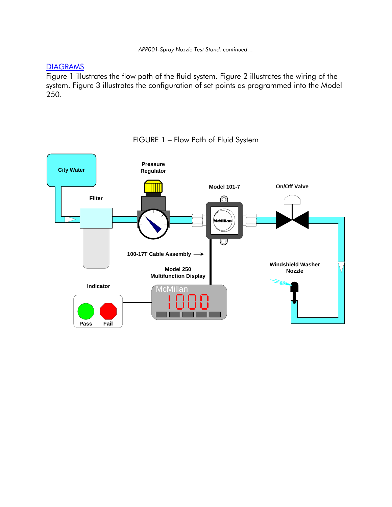*APP001-Spray Nozzle Test Stand, continued…* 

### DIAGRAMS

Figure 1 illustrates the flow path of the fluid system. Figure 2 illustrates the wiring of the system. Figure 3 illustrates the configuration of set points as programmed into the Model 250.



### FIGURE 1 – Flow Path of Fluid System